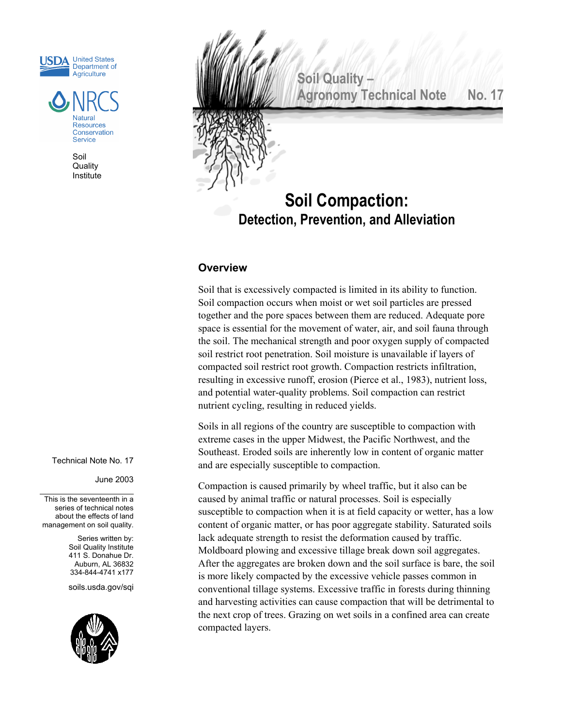



Soil **Quality** Institute **Soil Quality – Agronomy Technical Note No. 17** 

# **Soil Compaction: Detection, Prevention, and Alleviation**

## **Overview**

Soil that is excessively compacted is limited in its ability to function. Soil compaction occurs when moist or wet soil particles are pressed together and the pore spaces between them are reduced. Adequate pore space is essential for the movement of water, air, and soil fauna through the soil. The mechanical strength and poor oxygen supply of compacted soil restrict root penetration. Soil moisture is unavailable if layers of compacted soil restrict root growth. Compaction restricts infiltration, resulting in excessive runoff, erosion (Pierce et al., 1983), nutrient loss, and potential water-quality problems. Soil compaction can restrict nutrient cycling, resulting in reduced yields.

Soils in all regions of the country are susceptible to compaction with extreme cases in the upper Midwest, the Pacific Northwest, and the Southeast. Eroded soils are inherently low in content of organic matter and are especially susceptible to compaction.

Compaction is caused primarily by wheel traffic, but it also can be caused by animal traffic or natural processes. Soil is especially susceptible to compaction when it is at field capacity or wetter, has a low content of organic matter, or has poor aggregate stability. Saturated soils lack adequate strength to resist the deformation caused by traffic. Moldboard plowing and excessive tillage break down soil aggregates. After the aggregates are broken down and the soil surface is bare, the soil is more likely compacted by the excessive vehicle passes common in conventional tillage systems. Excessive traffic in forests during thinning and harvesting activities can cause compaction that will be detrimental to the next crop of trees. Grazing on wet soils in a confined area can create compacted layers.

Technical Note No. 17

June 2003

This is the seventeenth in a series of technical notes about the effects of land management on soil quality.

> Series written by: Soil Quality Institute 411 S. Donahue Dr. Auburn, AL 36832 334-844-4741 x177

soils.usda.gov/sqi

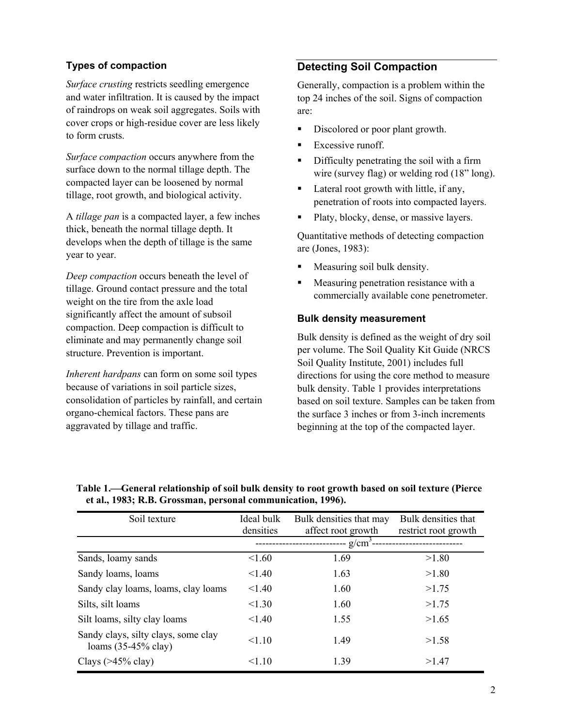*Surface crusting* restricts seedling emergence and water infiltration. It is caused by the impact of raindrops on weak soil aggregates. Soils with cover crops or high-residue cover are less likely to form crusts.

*Surface compaction* occurs anywhere from the surface down to the normal tillage depth. The compacted layer can be loosened by normal tillage, root growth, and biological activity.

A *tillage pan* is a compacted layer, a few inches thick, beneath the normal tillage depth. It develops when the depth of tillage is the same year to year.

 Measuring soil bulk density. *Deep compaction* occurs beneath the level of tillage. Ground contact pressure and the total weight on the tire from the axle load significantly affect the amount of subsoil compaction. Deep compaction is difficult to eliminate and may permanently change soil structure. Prevention is important.

*Inherent hardpans* can form on some soil types because of variations in soil particle sizes, consolidation of particles by rainfall, and certain organo-chemical factors. These pans are aggravated by tillage and traffic.

## **Types of compaction Compaction Compaction Compaction Compaction Compaction Compaction Compaction**

Generally, compaction is a problem within the top 24 inches of the soil. Signs of compaction are:

- Discolored or poor plant growth.
- $\blacksquare$  Excessive runoff.
- Difficulty penetrating the soil with a firm wire (survey flag) or welding rod (18" long).
- Lateral root growth with little, if any, penetration of roots into compacted layers.
- Platy, blocky, dense, or massive layers.

Quantitative methods of detecting compaction are (Jones, 1983):

- 
- Measuring penetration resistance with a commercially available cone penetrometer.

## **Bulk density measurement**

Bulk density is defined as the weight of dry soil per volume. The Soil Quality Kit Guide (NRCS Soil Quality Institute, 2001) includes full directions for using the core method to measure bulk density. Table 1 provides interpretations based on soil texture. Samples can be taken from the surface 3 inches or from 3-inch increments beginning at the top of the compacted layer.

| Soil texture                                                  | Ideal bulk<br>densities | Bulk densities that may<br>affect root growth | Bulk densities that<br>restrict root growth |  |  |
|---------------------------------------------------------------|-------------------------|-----------------------------------------------|---------------------------------------------|--|--|
|                                                               | $g/cm^3$ --             |                                               |                                             |  |  |
| Sands, loamy sands                                            | 1.60                    | 1.69                                          | >1.80                                       |  |  |
| Sandy loams, loams                                            | < 1.40                  | 1.63                                          | >1.80                                       |  |  |
| Sandy clay loams, loams, clay loams                           | < 1.40                  | 1.60                                          | >1.75                                       |  |  |
| Silts, silt loams                                             | < 1.30                  | 1.60                                          | >1.75                                       |  |  |
| Silt loams, silty clay loams                                  | < 1.40                  | 1.55                                          | >1.65                                       |  |  |
| Sandy clays, silty clays, some clay<br>loams $(35-45\%$ clay) | < 1.10                  | 1.49                                          | >1.58                                       |  |  |
| Clays $($ >45% clay $)$                                       | < 1.10                  | 1 39                                          | >1.47                                       |  |  |

 **Table 1.General relationship of soil bulk density to root growth based on soil texture (Pierce et al., 1983; R.B. Grossman, personal communication, 1996).**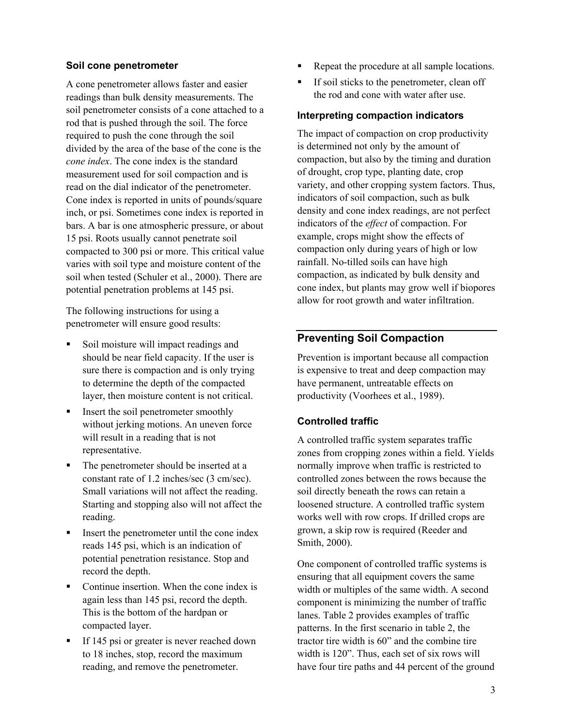A cone penetrometer allows faster and easier readings than bulk density measurements. The soil penetrometer consists of a cone attached to a rod that is pushed through the soil. The force required to push the cone through the soil divided by the area of the base of the cone is the *cone index*. The cone index is the standard measurement used for soil compaction and is read on the dial indicator of the penetrometer. Cone index is reported in units of pounds/square inch, or psi. Sometimes cone index is reported in bars. A bar is one atmospheric pressure, or about 15 psi. Roots usually cannot penetrate soil compacted to 300 psi or more. This critical value varies with soil type and moisture content of the soil when tested (Schuler et al., 2000). There are potential penetration problems at 145 psi.

The following instructions for using a penetrometer will ensure good results:

- should be near field capacity. If the user is sure there is compaction and is only trying to determine the depth of the compacted layer, then moisture content is not critical.
- Insert the soil penetrometer smoothly without jerking motions. An uneven force will result in a reading that is not representative.
- The penetrometer should be inserted at a constant rate of 1.2 inches/sec (3 cm/sec). Small variations will not affect the reading. Starting and stopping also will not affect the reading.
- Insert the penetrometer until the cone index reads 145 psi, which is an indication of potential penetration resistance. Stop and record the depth.
- Continue insertion. When the cone index is again less than 145 psi, record the depth. This is the bottom of the hardpan or compacted layer.
- If 145 psi or greater is never reached down to 18 inches, stop, record the maximum reading, and remove the penetrometer.
- **Soil cone penetrometer Repeat the procedure at all sample locations.** 
	- If soil sticks to the penetrometer, clean off the rod and cone with water after use.

## **Interpreting compaction indicators**

The impact of compaction on crop productivity is determined not only by the amount of compaction, but also by the timing and duration of drought, crop type, planting date, crop variety, and other cropping system factors. Thus, indicators of soil compaction, such as bulk density and cone index readings, are not perfect indicators of the *effect* of compaction. For example, crops might show the effects of compaction only during years of high or low rainfall. No-tilled soils can have high compaction, as indicated by bulk density and cone index, but plants may grow well if biopores allow for root growth and water infiltration.

## **Preventing Soil Compaction Soil moisture will impact readings and Preventing Soil Compaction**

Prevention is important because all compaction is expensive to treat and deep compaction may have permanent, untreatable effects on productivity (Voorhees et al., 1989).

## **Controlled traffic**

A controlled traffic system separates traffic zones from cropping zones within a field. Yields normally improve when traffic is restricted to controlled zones between the rows because the soil directly beneath the rows can retain a loosened structure. A controlled traffic system works well with row crops. If drilled crops are grown, a skip row is required (Reeder and Smith, 2000).

One component of controlled traffic systems is ensuring that all equipment covers the same width or multiples of the same width. A second component is minimizing the number of traffic lanes. Table 2 provides examples of traffic patterns. In the first scenario in table 2, the tractor tire width is 60" and the combine tire width is 120". Thus, each set of six rows will have four tire paths and 44 percent of the ground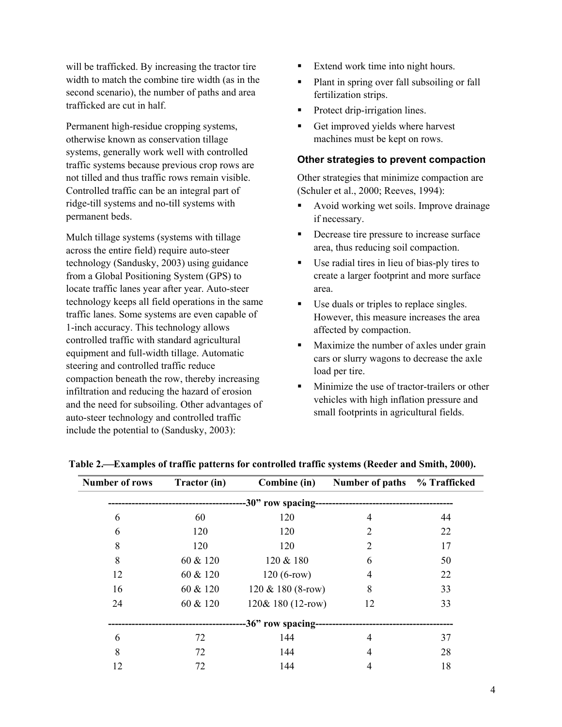will be trafficked. By increasing the tractor tire Extend work time into night hours. width to match the combine tire width (as in the second scenario), the number of paths and area trafficked are cut in half.

Permanent high-residue cropping systems, otherwise known as conservation tillage systems, generally work well with controlled traffic systems because previous crop rows are not tilled and thus traffic rows remain visible. Controlled traffic can be an integral part of ridge-till systems and no-till systems with permanent beds.

Mulch tillage systems (systems with tillage across the entire field) require auto-steer technology (Sandusky, 2003) using guidance from a Global Positioning System (GPS) to locate traffic lanes year after year. Auto-steer technology keeps all field operations in the same traffic lanes. Some systems are even capable of 1-inch accuracy. This technology allows controlled traffic with standard agricultural equipment and full-width tillage. Automatic steering and controlled traffic reduce compaction beneath the row, thereby increasing infiltration and reducing the hazard of erosion and the need for subsoiling. Other advantages of auto-steer technology and controlled traffic include the potential to (Sandusky, 2003):

- 
- Plant in spring over fall subsoiling or fall fertilization strips.
- Protect drip-irrigation lines.
- Get improved yields where harvest machines must be kept on rows.

## **Other strategies to prevent compaction**

Other strategies that minimize compaction are (Schuler et al., 2000; Reeves, 1994):

- Avoid working wet soils. Improve drainage if necessary.
- Decrease tire pressure to increase surface area, thus reducing soil compaction.
- Use radial tires in lieu of bias-ply tires to create a larger footprint and more surface area.
- Use duals or triples to replace singles. However, this measure increases the area affected by compaction.
- Maximize the number of axles under grain cars or slurry wagons to decrease the axle load per tire.
- **Minimize the use of tractor-trailers or other** vehicles with high inflation pressure and small footprints in agricultural fields.

| <b>Number of rows</b> | Tractor (in) | Combine (in)                              | Number of paths % Trafficked |    |  |  |  |
|-----------------------|--------------|-------------------------------------------|------------------------------|----|--|--|--|
|                       |              |                                           |                              |    |  |  |  |
| 6                     | 60           | 120                                       | 4                            | 44 |  |  |  |
| 6                     | 120          | 120                                       | 2                            | 22 |  |  |  |
| 8                     | 120          | 120                                       | 2                            | 17 |  |  |  |
| 8                     | 60 & 120     | 120 & 180                                 | 6                            | 50 |  |  |  |
| 12                    | 60 & 120     | $120(6$ -row)                             | 4                            | 22 |  |  |  |
| 16                    | 60 & 120     | $120 \& 180 (8$ -row)                     | 8                            | 33 |  |  |  |
| 24                    | 60 & 120     | 120& 180 (12-row)                         | 12                           | 33 |  |  |  |
|                       |              | -36" row spacing------------------------- |                              |    |  |  |  |
| 6                     | 72           | 144                                       | 4                            | 37 |  |  |  |
| 8                     | 72           | 144                                       | 4                            | 28 |  |  |  |
| 12                    | 72           | 144                                       | 4                            | 18 |  |  |  |

## **Table 2.Examples of traffic patterns for controlled traffic systems (Reeder and Smith, 2000).**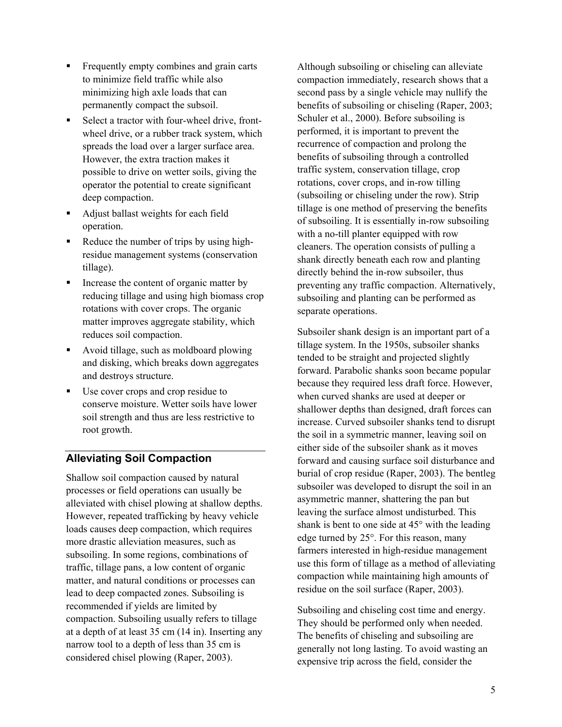- Frequently empty combines and grain carts to minimize field traffic while also minimizing high axle loads that can permanently compact the subsoil.
- Select a tractor with four-wheel drive, frontwheel drive, or a rubber track system, which spreads the load over a larger surface area. However, the extra traction makes it possible to drive on wetter soils, giving the operator the potential to create significant deep compaction.
- Adjust ballast weights for each field operation.
- Reduce the number of trips by using highresidue management systems (conservation tillage).
- Increase the content of organic matter by reducing tillage and using high biomass crop rotations with cover crops. The organic matter improves aggregate stability, which
- Avoid tillage, such as moldboard plowing and disking, which breaks down aggregates and destroys structure.
- Use cover crops and crop residue to conserve moisture. Wetter soils have lower soil strength and thus are less restrictive to root growth.

## **Alleviating Soil Compaction**

Shallow soil compaction caused by natural processes or field operations can usually be alleviated with chisel plowing at shallow depths. However, repeated trafficking by heavy vehicle loads causes deep compaction, which requires more drastic alleviation measures, such as subsoiling. In some regions, combinations of traffic, tillage pans, a low content of organic matter, and natural conditions or processes can lead to deep compacted zones. Subsoiling is recommended if yields are limited by compaction. Subsoiling usually refers to tillage at a depth of at least 35 cm (14 in). Inserting any narrow tool to a depth of less than 35 cm is considered chisel plowing (Raper, 2003).

Although subsoiling or chiseling can alleviate compaction immediately, research shows that a second pass by a single vehicle may nullify the benefits of subsoiling or chiseling (Raper, 2003; Schuler et al., 2000). Before subsoiling is performed, it is important to prevent the recurrence of compaction and prolong the benefits of subsoiling through a controlled traffic system, conservation tillage, crop rotations, cover crops, and in-row tilling (subsoiling or chiseling under the row). Strip tillage is one method of preserving the benefits of subsoiling. It is essentially in-row subsoiling with a no-till planter equipped with row cleaners. The operation consists of pulling a shank directly beneath each row and planting directly behind the in-row subsoiler, thus preventing any traffic compaction. Alternatively, subsoiling and planting can be performed as separate operations.

reduces soil compaction. Subsoiler shank design is an important part of a tillage system. In the 1950s, subsoiler shanks tended to be straight and projected slightly forward. Parabolic shanks soon became popular because they required less draft force. However, when curved shanks are used at deeper or shallower depths than designed, draft forces can increase. Curved subsoiler shanks tend to disrupt the soil in a symmetric manner, leaving soil on either side of the subsoiler shank as it moves forward and causing surface soil disturbance and burial of crop residue (Raper, 2003). The bentleg subsoiler was developed to disrupt the soil in an asymmetric manner, shattering the pan but leaving the surface almost undisturbed. This shank is bent to one side at 45° with the leading edge turned by 25°. For this reason, many farmers interested in high-residue management use this form of tillage as a method of alleviating compaction while maintaining high amounts of residue on the soil surface (Raper, 2003).

> Subsoiling and chiseling cost time and energy. They should be performed only when needed. The benefits of chiseling and subsoiling are generally not long lasting. To avoid wasting an expensive trip across the field, consider the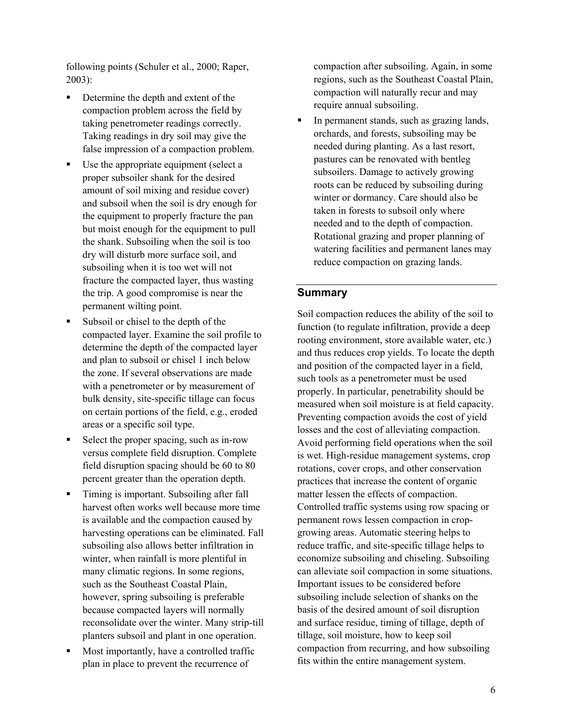following points (Schuler et al., 2000; Raper, 2003):

- Determine the depth and extent of the compaction problem across the field by taking penetrometer readings correctly. Taking readings in dry soil may give the false impression of a compaction problem.
- Use the appropriate equipment (select a proper subsoiler shank for the desired amount of soil mixing and residue cover) and subsoil when the soil is dry enough for the equipment to properly fracture the pan but moist enough for the equipment to pull the shank. Subsoiling when the soil is too dry will disturb more surface soil, and subsoiling when it is too wet will not fracture the compacted layer, thus wasting the trip. A good compromise is near the permanent wilting point.
- Subsoil or chisel to the depth of the compacted layer. Examine the soil profile to determine the depth of the compacted layer and plan to subsoil or chisel 1 inch below the zone. If several observations are made with a penetrometer or by measurement of bulk density, site-specific tillage can focus on certain portions of the field, e.g., eroded areas or a specific soil type.
- Select the proper spacing, such as in-row versus complete field disruption. Complete field disruption spacing should be 60 to 80 percent greater than the operation depth.
- Timing is important. Subsoiling after fall harvest often works well because more time is available and the compaction caused by harvesting operations can be eliminated. Fall subsoiling also allows better infiltration in winter, when rainfall is more plentiful in many climatic regions. In some regions, such as the Southeast Coastal Plain, however, spring subsoiling is preferable because compacted layers will normally reconsolidate over the winter. Many strip-till planters subsoil and plant in one operation.
- Most importantly, have a controlled traffic plan in place to prevent the recurrence of

compaction after subsoiling. Again, in some regions, such as the Southeast Coastal Plain, compaction will naturally recur and may require annual subsoiling.

In permanent stands, such as grazing lands, orchards, and forests, subsoiling may be needed during planting. As a last resort, pastures can be renovated with bentleg subsoilers. Damage to actively growing roots can be reduced by subsoiling during winter or dormancy. Care should also be taken in forests to subsoil only where needed and to the depth of compaction. Rotational grazing and proper planning of watering facilities and permanent lanes may reduce compaction on grazing lands.

## **Summary**

Soil compaction reduces the ability of the soil to function (to regulate infiltration, provide a deep rooting environment, store available water, etc.) and thus reduces crop yields. To locate the depth and position of the compacted layer in a field, such tools as a penetrometer must be used properly. In particular, penetrability should be measured when soil moisture is at field capacity. Preventing compaction avoids the cost of yield losses and the cost of alleviating compaction. Avoid performing field operations when the soil is wet. High-residue management systems, crop rotations, cover crops, and other conservation practices that increase the content of organic matter lessen the effects of compaction. Controlled traffic systems using row spacing or permanent rows lessen compaction in cropgrowing areas. Automatic steering helps to reduce traffic, and site-specific tillage helps to economize subsoiling and chiseling. Subsoiling can alleviate soil compaction in some situations. Important issues to be considered before subsoiling include selection of shanks on the basis of the desired amount of soil disruption and surface residue, timing of tillage, depth of tillage, soil moisture, how to keep soil compaction from recurring, and how subsoiling fits within the entire management system.